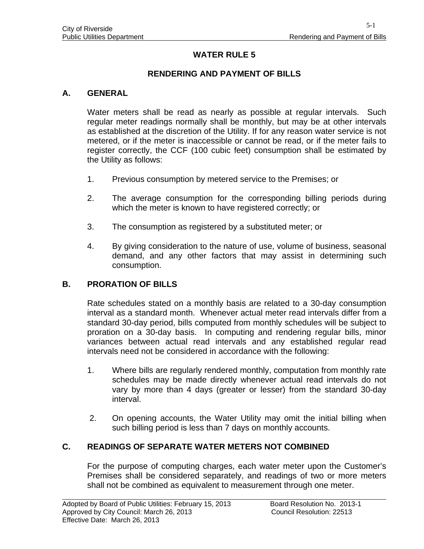# **WATER RULE 5**

### **RENDERING AND PAYMENT OF BILLS**

#### **A. GENERAL**

Water meters shall be read as nearly as possible at regular intervals. Such regular meter readings normally shall be monthly, but may be at other intervals as established at the discretion of the Utility. If for any reason water service is not metered, or if the meter is inaccessible or cannot be read, or if the meter fails to register correctly, the CCF (100 cubic feet) consumption shall be estimated by the Utility as follows:

- 1. Previous consumption by metered service to the Premises; or
- 2. The average consumption for the corresponding billing periods during which the meter is known to have registered correctly; or
- 3. The consumption as registered by a substituted meter; or
- 4. By giving consideration to the nature of use, volume of business, seasonal demand, and any other factors that may assist in determining such consumption.

#### **B. PRORATION OF BILLS**

Rate schedules stated on a monthly basis are related to a 30-day consumption interval as a standard month. Whenever actual meter read intervals differ from a standard 30-day period, bills computed from monthly schedules will be subject to proration on a 30-day basis. In computing and rendering regular bills, minor variances between actual read intervals and any established regular read intervals need not be considered in accordance with the following:

- 1. Where bills are regularly rendered monthly, computation from monthly rate schedules may be made directly whenever actual read intervals do not vary by more than 4 days (greater or lesser) from the standard 30-day interval.
- 2. On opening accounts, the Water Utility may omit the initial billing when such billing period is less than 7 days on monthly accounts.

### **C. READINGS OF SEPARATE WATER METERS NOT COMBINED**

For the purpose of computing charges, each water meter upon the Customer's Premises shall be considered separately, and readings of two or more meters shall not be combined as equivalent to measurement through one meter.